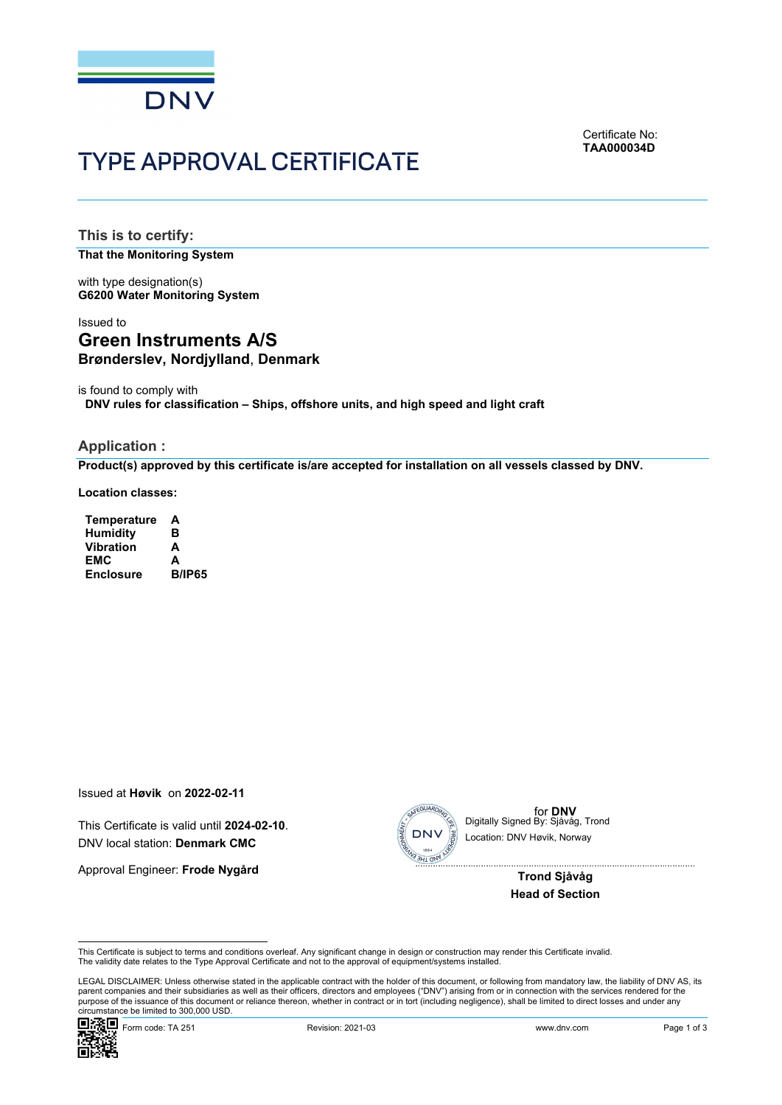

TYPE APPROVAL CERTIFICATE

Certificate No: **TAA000034D**

**This is to certify:** 

**That the Monitoring System**

with type designation(s) **G6200 Water Monitoring System**

# Issued to **Green Instruments A/S Brønderslev, Nordjylland**, **Denmark**

is found to comply with **DNV rules for classification – Ships, offshore units, and high speed and light craft**

#### **Application :**

**Product(s) approved by this certificate is/are accepted for installation on all vessels classed by DNV.**

**Location classes:**

**Temperature A Humidity B Vibration EMC A Enclosure** 

Issued at **Høvik** on **2022-02-11**

This Certificate is valid until **2024-02-10**. DNV local station: **Denmark CMC**

Approval Engineer: **Frode Nygård**



for **DNV**<br>Digitally Signed By: Sjåvåg, Trond Location: DNV Høvik, Norway

> **Trond Sjåvåg Head of Section**

This Certificate is subject to terms and conditions overleaf. Any significant change in design or construction may render this Certificate invalid.<br>The validity date relates to the Type Approval Certificate and not to the

 LEGAL DISCLAIMER: Unless otherwise stated in the applicable contract with the holder of this document, or following from mandatory law, the liability of DNV AS, its parent companies and their subsidiaries as well as their officers, directors and employees ("DNV") arising from or in connection with the services rendered for the purpose of the issuance of this document or reliance thereon, whether in contract or in tort (including negligence), shall be limited to direct losses and under any circumstance be limited to 300,000 USD. This Certificate is valid until 2024-02-10.<br>
DNV local station: Denmark CMC<br>
Approval Engineer: Frode Nygård<br>
Approval Engineer: Frode Nygård<br>
Trond Sjåvåg<br>
Trond Sjåvåg<br>
Trond Sjåvåg<br>
Trond Sjåvåg<br>
DNV local station: DNV

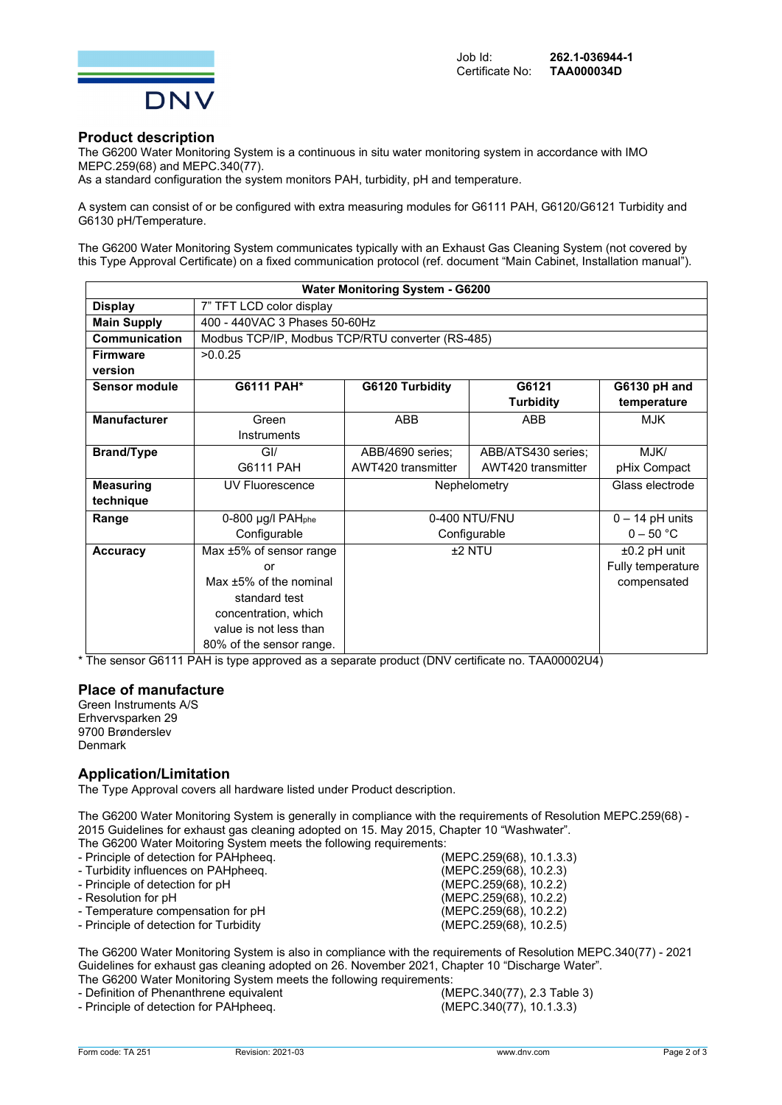

#### **Product description**

The G6200 Water Monitoring System is a continuous in situ water monitoring system in accordance with IMO MEPC.259(68) and MEPC.340(77).

As a standard configuration the system monitors PAH, turbidity, pH and temperature.

A system can consist of or be configured with extra measuring modules for G6111 PAH, G6120/G6121 Turbidity and G6130 pH/Temperature.

The G6200 Water Monitoring System communicates typically with an Exhaust Gas Cleaning System (not covered by this Type Approval Certificate) on a fixed communication protocol (ref. document "Main Cabinet, Installation manual").

| <b>Water Monitoring System - G6200</b> |                                                  |                          |                    |                   |  |  |  |  |
|----------------------------------------|--------------------------------------------------|--------------------------|--------------------|-------------------|--|--|--|--|
| <b>Display</b>                         | 7" TFT LCD color display                         |                          |                    |                   |  |  |  |  |
| <b>Main Supply</b>                     | 400 - 440VAC 3 Phases 50-60Hz                    |                          |                    |                   |  |  |  |  |
| <b>Communication</b>                   | Modbus TCP/IP, Modbus TCP/RTU converter (RS-485) |                          |                    |                   |  |  |  |  |
| <b>Firmware</b>                        | >0.0.25                                          |                          |                    |                   |  |  |  |  |
| version                                |                                                  |                          |                    |                   |  |  |  |  |
| <b>Sensor module</b>                   | G6111 PAH*                                       | G6120 Turbidity<br>G6121 |                    | G6130 pH and      |  |  |  |  |
|                                        |                                                  |                          | <b>Turbidity</b>   | temperature       |  |  |  |  |
| <b>Manufacturer</b>                    | Green                                            | <b>ABB</b>               | <b>ABB</b>         | <b>MJK</b>        |  |  |  |  |
|                                        | Instruments                                      |                          |                    |                   |  |  |  |  |
| <b>Brand/Type</b>                      | GI/                                              | ABB/4690 series;         | ABB/ATS430 series; | MJK/              |  |  |  |  |
|                                        | G6111 PAH                                        | AWT420 transmitter       | AWT420 transmitter | pHix Compact      |  |  |  |  |
| <b>Measuring</b>                       | UV Fluorescence                                  | Nephelometry             |                    | Glass electrode   |  |  |  |  |
| technique                              |                                                  |                          |                    |                   |  |  |  |  |
| Range                                  | 0-800 µg/l PAHphe                                | 0-400 NTU/FNU            |                    | $0 - 14$ pH units |  |  |  |  |
|                                        | Configurable                                     | Configurable             |                    | $0 - 50 °C$       |  |  |  |  |
| <b>Accuracy</b>                        | Max ±5% of sensor range                          | $±2$ NTU                 |                    | $±0.2$ pH unit    |  |  |  |  |
|                                        | or                                               |                          |                    | Fully temperature |  |  |  |  |
|                                        | Max +5% of the nominal                           |                          |                    | compensated       |  |  |  |  |
|                                        | standard test                                    |                          |                    |                   |  |  |  |  |
|                                        | concentration, which                             |                          |                    |                   |  |  |  |  |
|                                        | value is not less than                           |                          |                    |                   |  |  |  |  |
|                                        | 80% of the sensor range.                         |                          |                    |                   |  |  |  |  |

\* The sensor G6111 PAH is type approved as a separate product (DNV certificate no. TAA00002U4)

## **Place of manufacture**

Green Instruments A/S Erhvervsparken 29 9700 Brønderslev Denmark

## **Application/Limitation**

The Type Approval covers all hardware listed under Product description.

The G6200 Water Monitoring System is generally in compliance with the requirements of Resolution MEPC.259(68) - 2015 Guidelines for exhaust gas cleaning adopted on 15. May 2015, Chapter 10 "Washwater". The G6200 Water Moitoring System meets the following requirements:

| - Principle of detection for PAHpheeg. | (MEPC.259(68), 10.1.3.3) |
|----------------------------------------|--------------------------|
| - Turbidity influences on PAHpheeg.    | (MEPC.259(68), 10.2.3)   |
| - Principle of detection for pH        | (MEPC.259(68), 10.2.2)   |
| - Resolution for pH                    | (MEPC.259(68), 10.2.2)   |
| - Temperature compensation for pH      | (MEPC.259(68), 10.2.2)   |
| - Principle of detection for Turbidity | (MEPC.259(68), 10.2.5)   |
|                                        |                          |

The G6200 Water Monitoring System is also in compliance with the requirements of Resolution MEPC.340(77) - 2021 Guidelines for exhaust gas cleaning adopted on 26. November 2021, Chapter 10 "Discharge Water". The G6200 Water Monitoring System meets the following requirements:<br>- Definition of Phenanthrene equivalent (MEPC.340(77), 2.3 Table 3)

- Principle of detection for PAHpheeq.

- Definition of Phenanthrene equivalent (MEPC.340(77), 2.3 Table 3)<br>- Principle of detection for PAHpheeq. (MEPC.340(77), 10.1.3.3)